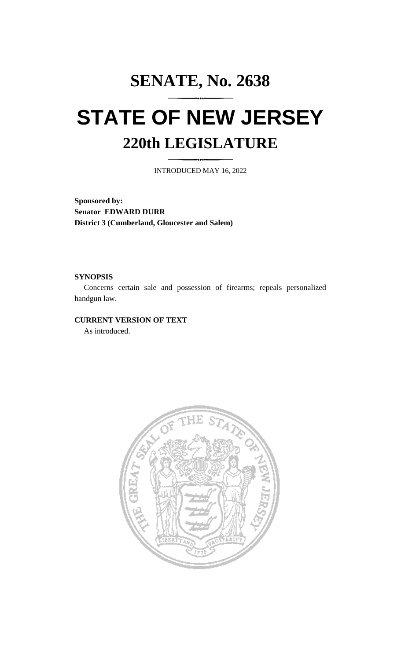# **SENATE, No. 2638 STATE OF NEW JERSEY 220th LEGISLATURE**

INTRODUCED MAY 16, 2022

**Sponsored by: Senator EDWARD DURR District 3 (Cumberland, Gloucester and Salem)**

## **SYNOPSIS**

Concerns certain sale and possession of firearms; repeals personalized handgun law.

## **CURRENT VERSION OF TEXT**

As introduced.

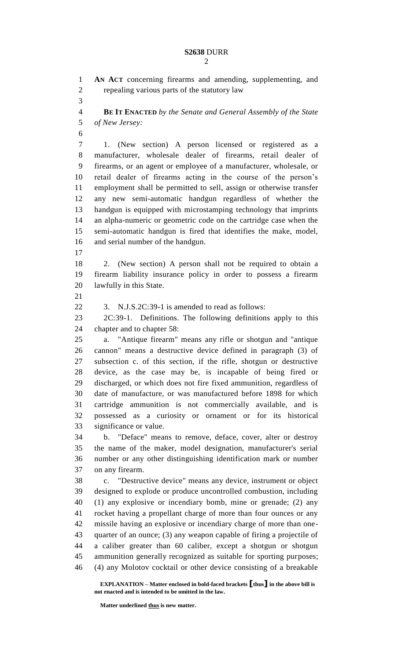# **S2638** DURR

 **AN ACT** concerning firearms and amending, supplementing, and repealing various parts of the statutory law **BE IT ENACTED** *by the Senate and General Assembly of the State of New Jersey:* 1. (New section) A person licensed or registered as a manufacturer, wholesale dealer of firearms, retail dealer of firearms, or an agent or employee of a manufacturer, wholesale, or retail dealer of firearms acting in the course of the person's employment shall be permitted to sell, assign or otherwise transfer any new semi-automatic handgun regardless of whether the handgun is equipped with microstamping technology that imprints an alpha-numeric or geometric code on the cartridge case when the semi-automatic handgun is fired that identifies the make, model, and serial number of the handgun. 2. (New section) A person shall not be required to obtain a firearm liability insurance policy in order to possess a firearm lawfully in this State. 22 3. N.J.S.2C:39-1 is amended to read as follows: 2C:39-1. Definitions. The following definitions apply to this chapter and to chapter 58: a. "Antique firearm" means any rifle or shotgun and "antique cannon" means a destructive device defined in paragraph (3) of subsection c. of this section, if the rifle, shotgun or destructive device, as the case may be, is incapable of being fired or discharged, or which does not fire fixed ammunition, regardless of date of manufacture, or was manufactured before 1898 for which cartridge ammunition is not commercially available, and is possessed as a curiosity or ornament or for its historical significance or value. b. "Deface" means to remove, deface, cover, alter or destroy the name of the maker, model designation, manufacturer's serial number or any other distinguishing identification mark or number on any firearm. c. "Destructive device" means any device, instrument or object designed to explode or produce uncontrolled combustion, including (1) any explosive or incendiary bomb, mine or grenade; (2) any rocket having a propellant charge of more than four ounces or any missile having an explosive or incendiary charge of more than one- quarter of an ounce; (3) any weapon capable of firing a projectile of a caliber greater than 60 caliber, except a shotgun or shotgun ammunition generally recognized as suitable for sporting purposes; (4) any Molotov cocktail or other device consisting of a breakable

**EXPLANATION – Matter enclosed in bold-faced brackets [thus] in the above bill is not enacted and is intended to be omitted in the law.**

**Matter underlined thus is new matter.**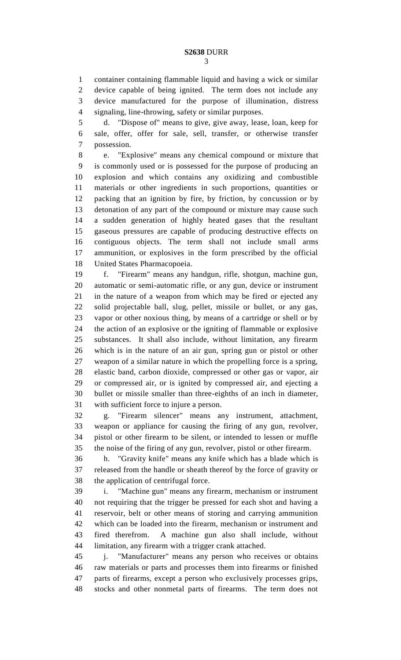container containing flammable liquid and having a wick or similar device capable of being ignited. The term does not include any device manufactured for the purpose of illumination, distress signaling, line-throwing, safety or similar purposes.

 d. "Dispose of" means to give, give away, lease, loan, keep for sale, offer, offer for sale, sell, transfer, or otherwise transfer possession.

 e. "Explosive" means any chemical compound or mixture that is commonly used or is possessed for the purpose of producing an explosion and which contains any oxidizing and combustible materials or other ingredients in such proportions, quantities or packing that an ignition by fire, by friction, by concussion or by detonation of any part of the compound or mixture may cause such a sudden generation of highly heated gases that the resultant gaseous pressures are capable of producing destructive effects on contiguous objects. The term shall not include small arms ammunition, or explosives in the form prescribed by the official United States Pharmacopoeia.

 f. "Firearm" means any handgun, rifle, shotgun, machine gun, automatic or semi-automatic rifle, or any gun, device or instrument in the nature of a weapon from which may be fired or ejected any solid projectable ball, slug, pellet, missile or bullet, or any gas, vapor or other noxious thing, by means of a cartridge or shell or by the action of an explosive or the igniting of flammable or explosive substances. It shall also include, without limitation, any firearm which is in the nature of an air gun, spring gun or pistol or other weapon of a similar nature in which the propelling force is a spring, elastic band, carbon dioxide, compressed or other gas or vapor, air or compressed air, or is ignited by compressed air, and ejecting a bullet or missile smaller than three-eighths of an inch in diameter, with sufficient force to injure a person.

 g. "Firearm silencer" means any instrument, attachment, weapon or appliance for causing the firing of any gun, revolver, pistol or other firearm to be silent, or intended to lessen or muffle the noise of the firing of any gun, revolver, pistol or other firearm.

 h. "Gravity knife" means any knife which has a blade which is released from the handle or sheath thereof by the force of gravity or the application of centrifugal force.

 i. "Machine gun" means any firearm, mechanism or instrument not requiring that the trigger be pressed for each shot and having a reservoir, belt or other means of storing and carrying ammunition which can be loaded into the firearm, mechanism or instrument and fired therefrom. A machine gun also shall include, without limitation, any firearm with a trigger crank attached.

 j. "Manufacturer" means any person who receives or obtains raw materials or parts and processes them into firearms or finished parts of firearms, except a person who exclusively processes grips, stocks and other nonmetal parts of firearms. The term does not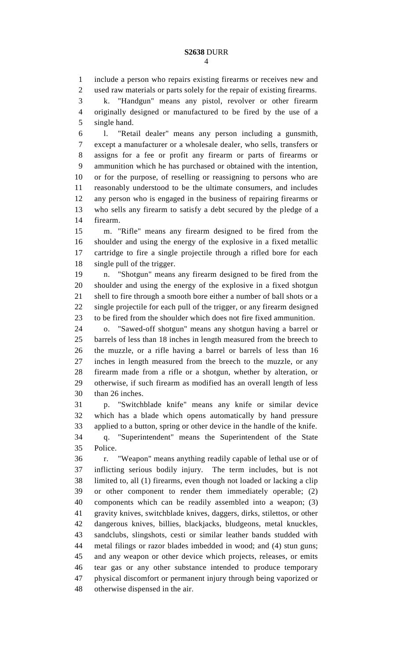include a person who repairs existing firearms or receives new and used raw materials or parts solely for the repair of existing firearms.

 k. "Handgun" means any pistol, revolver or other firearm originally designed or manufactured to be fired by the use of a single hand.

 l. "Retail dealer" means any person including a gunsmith, except a manufacturer or a wholesale dealer, who sells, transfers or assigns for a fee or profit any firearm or parts of firearms or ammunition which he has purchased or obtained with the intention, or for the purpose, of reselling or reassigning to persons who are reasonably understood to be the ultimate consumers, and includes any person who is engaged in the business of repairing firearms or who sells any firearm to satisfy a debt secured by the pledge of a firearm.

 m. "Rifle" means any firearm designed to be fired from the shoulder and using the energy of the explosive in a fixed metallic cartridge to fire a single projectile through a rifled bore for each single pull of the trigger.

 n. "Shotgun" means any firearm designed to be fired from the shoulder and using the energy of the explosive in a fixed shotgun shell to fire through a smooth bore either a number of ball shots or a single projectile for each pull of the trigger, or any firearm designed to be fired from the shoulder which does not fire fixed ammunition.

 o. "Sawed-off shotgun" means any shotgun having a barrel or barrels of less than 18 inches in length measured from the breech to the muzzle, or a rifle having a barrel or barrels of less than 16 inches in length measured from the breech to the muzzle, or any firearm made from a rifle or a shotgun, whether by alteration, or otherwise, if such firearm as modified has an overall length of less than 26 inches.

 p. "Switchblade knife" means any knife or similar device which has a blade which opens automatically by hand pressure applied to a button, spring or other device in the handle of the knife. q. "Superintendent" means the Superintendent of the State Police.

 r. "Weapon" means anything readily capable of lethal use or of inflicting serious bodily injury. The term includes, but is not limited to, all (1) firearms, even though not loaded or lacking a clip or other component to render them immediately operable; (2) components which can be readily assembled into a weapon; (3) gravity knives, switchblade knives, daggers, dirks, stilettos, or other dangerous knives, billies, blackjacks, bludgeons, metal knuckles, sandclubs, slingshots, cesti or similar leather bands studded with metal filings or razor blades imbedded in wood; and (4) stun guns; and any weapon or other device which projects, releases, or emits tear gas or any other substance intended to produce temporary physical discomfort or permanent injury through being vaporized or otherwise dispensed in the air.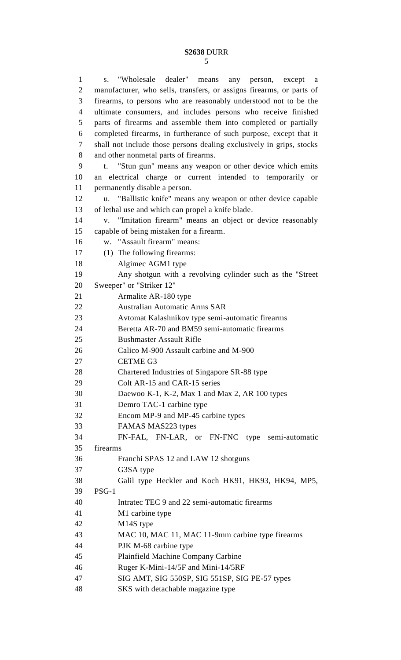s. "Wholesale dealer" means any person, except a manufacturer, who sells, transfers, or assigns firearms, or parts of firearms, to persons who are reasonably understood not to be the ultimate consumers, and includes persons who receive finished parts of firearms and assemble them into completed or partially completed firearms, in furtherance of such purpose, except that it shall not include those persons dealing exclusively in grips, stocks and other nonmetal parts of firearms. t. "Stun gun" means any weapon or other device which emits an electrical charge or current intended to temporarily or permanently disable a person. u. "Ballistic knife" means any weapon or other device capable of lethal use and which can propel a knife blade. v. "Imitation firearm" means an object or device reasonably capable of being mistaken for a firearm. w. "Assault firearm" means: (1) The following firearms: Algimec AGM1 type Any shotgun with a revolving cylinder such as the "Street Sweeper" or "Striker 12" Armalite AR-180 type Australian Automatic Arms SAR Avtomat Kalashnikov type semi-automatic firearms Beretta AR-70 and BM59 semi-automatic firearms Bushmaster Assault Rifle Calico M-900 Assault carbine and M-900 CETME G3 Chartered Industries of Singapore SR-88 type 29 Colt AR-15 and CAR-15 series Daewoo K-1, K-2, Max 1 and Max 2, AR 100 types Demro TAC-1 carbine type Encom MP-9 and MP-45 carbine types FAMAS MAS223 types FN-FAL, FN-LAR, or FN-FNC type semi-automatic firearms Franchi SPAS 12 and LAW 12 shotguns G3SA type Galil type Heckler and Koch HK91, HK93, HK94, MP5, PSG-1 Intratec TEC 9 and 22 semi-automatic firearms M1 carbine type M14S type MAC 10, MAC 11, MAC 11-9mm carbine type firearms PJK M-68 carbine type Plainfield Machine Company Carbine Ruger K-Mini-14/5F and Mini-14/5RF SIG AMT, SIG 550SP, SIG 551SP, SIG PE-57 types SKS with detachable magazine type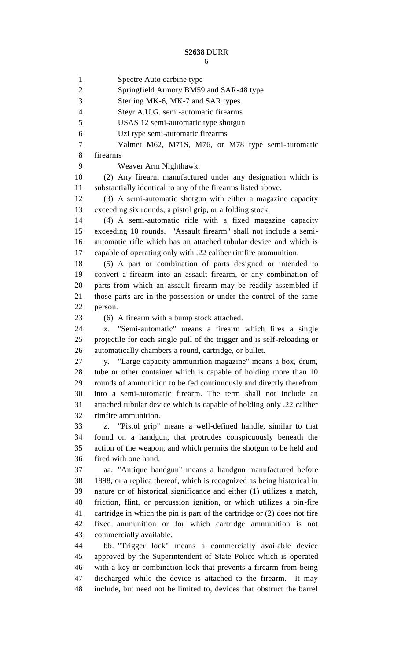- Spectre Auto carbine type
- Springfield Armory BM59 and SAR-48 type
- Sterling MK-6, MK-7 and SAR types
- Steyr A.U.G. semi-automatic firearms
- USAS 12 semi-automatic type shotgun
- Uzi type semi-automatic firearms
- Valmet M62, M71S, M76, or M78 type semi-automatic firearms

Weaver Arm Nighthawk.

 (2) Any firearm manufactured under any designation which is substantially identical to any of the firearms listed above.

 (3) A semi-automatic shotgun with either a magazine capacity exceeding six rounds, a pistol grip, or a folding stock.

 (4) A semi-automatic rifle with a fixed magazine capacity exceeding 10 rounds. "Assault firearm" shall not include a semi- automatic rifle which has an attached tubular device and which is capable of operating only with .22 caliber rimfire ammunition.

 (5) A part or combination of parts designed or intended to convert a firearm into an assault firearm, or any combination of parts from which an assault firearm may be readily assembled if those parts are in the possession or under the control of the same person.

(6) A firearm with a bump stock attached.

 x. "Semi-automatic" means a firearm which fires a single projectile for each single pull of the trigger and is self-reloading or automatically chambers a round, cartridge, or bullet.

 y. "Large capacity ammunition magazine" means a box, drum, tube or other container which is capable of holding more than 10 rounds of ammunition to be fed continuously and directly therefrom into a semi-automatic firearm. The term shall not include an attached tubular device which is capable of holding only .22 caliber rimfire ammunition.

 z. "Pistol grip" means a well-defined handle, similar to that found on a handgun, that protrudes conspicuously beneath the action of the weapon, and which permits the shotgun to be held and fired with one hand.

 aa. "Antique handgun" means a handgun manufactured before 1898, or a replica thereof, which is recognized as being historical in nature or of historical significance and either (1) utilizes a match, friction, flint, or percussion ignition, or which utilizes a pin-fire cartridge in which the pin is part of the cartridge or (2) does not fire fixed ammunition or for which cartridge ammunition is not commercially available.

 bb. "Trigger lock" means a commercially available device approved by the Superintendent of State Police which is operated with a key or combination lock that prevents a firearm from being discharged while the device is attached to the firearm. It may include, but need not be limited to, devices that obstruct the barrel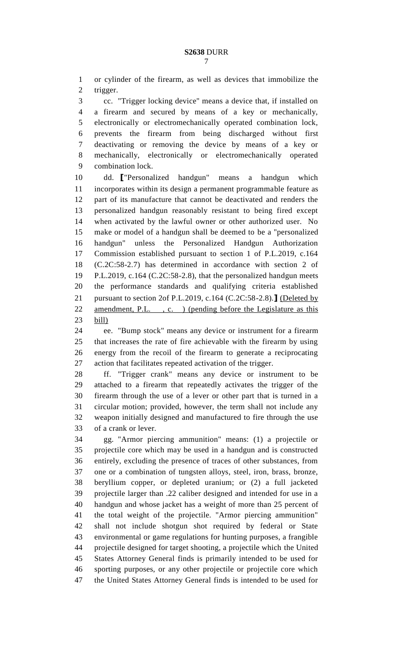or cylinder of the firearm, as well as devices that immobilize the trigger.

 cc. "Trigger locking device" means a device that, if installed on a firearm and secured by means of a key or mechanically, electronically or electromechanically operated combination lock, prevents the firearm from being discharged without first deactivating or removing the device by means of a key or mechanically, electronically or electromechanically operated combination lock.

 dd. **[**"Personalized handgun" means a handgun which incorporates within its design a permanent programmable feature as part of its manufacture that cannot be deactivated and renders the personalized handgun reasonably resistant to being fired except when activated by the lawful owner or other authorized user. No make or model of a handgun shall be deemed to be a "personalized handgun" unless the Personalized Handgun Authorization Commission established pursuant to section 1 of P.L.2019, c.164 (C.2C:58-2.7) has determined in accordance with section 2 of P.L.2019, c.164 (C.2C:58-2.8), that the personalized handgun meets the performance standards and qualifying criteria established pursuant to section 2of P.L.2019, c.164 (C.2C:58-2.8).**]** (Deleted by 22 amendment, P.L., c. ) (pending before the Legislature as this bill)

 ee. "Bump stock" means any device or instrument for a firearm that increases the rate of fire achievable with the firearm by using energy from the recoil of the firearm to generate a reciprocating action that facilitates repeated activation of the trigger.

 ff. "Trigger crank" means any device or instrument to be attached to a firearm that repeatedly activates the trigger of the firearm through the use of a lever or other part that is turned in a circular motion; provided, however, the term shall not include any weapon initially designed and manufactured to fire through the use of a crank or lever.

 gg. "Armor piercing ammunition" means: (1) a projectile or projectile core which may be used in a handgun and is constructed entirely, excluding the presence of traces of other substances, from one or a combination of tungsten alloys, steel, iron, brass, bronze, beryllium copper, or depleted uranium; or (2) a full jacketed projectile larger than .22 caliber designed and intended for use in a handgun and whose jacket has a weight of more than 25 percent of the total weight of the projectile. "Armor piercing ammunition" shall not include shotgun shot required by federal or State environmental or game regulations for hunting purposes, a frangible projectile designed for target shooting, a projectile which the United States Attorney General finds is primarily intended to be used for sporting purposes, or any other projectile or projectile core which the United States Attorney General finds is intended to be used for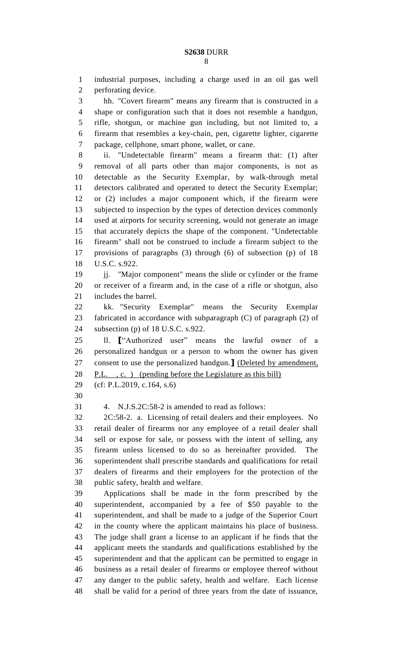industrial purposes, including a charge used in an oil gas well perforating device. hh. "Covert firearm" means any firearm that is constructed in a shape or configuration such that it does not resemble a handgun, rifle, shotgun, or machine gun including, but not limited to, a firearm that resembles a key-chain, pen, cigarette lighter, cigarette package, cellphone, smart phone, wallet, or cane. ii. "Undetectable firearm" means a firearm that: (1) after removal of all parts other than major components, is not as detectable as the Security Exemplar, by walk-through metal detectors calibrated and operated to detect the Security Exemplar; or (2) includes a major component which, if the firearm were subjected to inspection by the types of detection devices commonly used at airports for security screening, would not generate an image that accurately depicts the shape of the component. "Undetectable firearm" shall not be construed to include a firearm subject to the provisions of paragraphs (3) through (6) of subsection (p) of 18 U.S.C. s.922. jj. "Major component" means the slide or cylinder or the frame or receiver of a firearm and, in the case of a rifle or shotgun, also includes the barrel. kk. "Security Exemplar" means the Security Exemplar fabricated in accordance with subparagraph (C) of paragraph (2) of subsection (p) of 18 U.S.C. s.922. ll. **[**"Authorized user" means the lawful owner of a

 personalized handgun or a person to whom the owner has given consent to use the personalized handgun.**]** (Deleted by amendment, P.L. , c. ) (pending before the Legislature as this bill)

(cf: P.L.2019, c.164, s.6)

4. N.J.S.2C:58-2 is amended to read as follows:

 2C:58-2. a. Licensing of retail dealers and their employees. No retail dealer of firearms nor any employee of a retail dealer shall sell or expose for sale, or possess with the intent of selling, any firearm unless licensed to do so as hereinafter provided. The superintendent shall prescribe standards and qualifications for retail dealers of firearms and their employees for the protection of the public safety, health and welfare.

 Applications shall be made in the form prescribed by the superintendent, accompanied by a fee of \$50 payable to the superintendent, and shall be made to a judge of the Superior Court in the county where the applicant maintains his place of business. The judge shall grant a license to an applicant if he finds that the applicant meets the standards and qualifications established by the superintendent and that the applicant can be permitted to engage in business as a retail dealer of firearms or employee thereof without any danger to the public safety, health and welfare. Each license shall be valid for a period of three years from the date of issuance,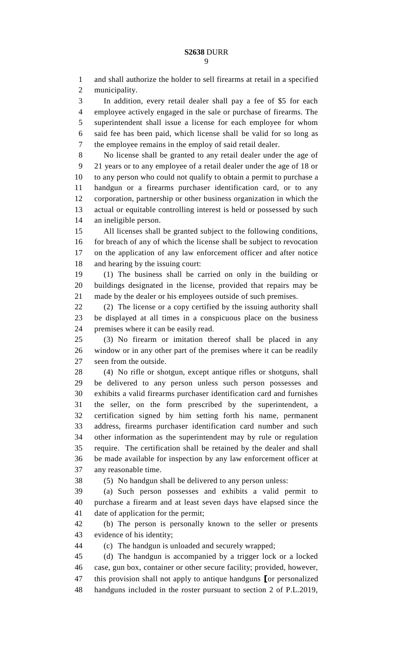and shall authorize the holder to sell firearms at retail in a specified municipality. In addition, every retail dealer shall pay a fee of \$5 for each employee actively engaged in the sale or purchase of firearms. The

 superintendent shall issue a license for each employee for whom said fee has been paid, which license shall be valid for so long as the employee remains in the employ of said retail dealer.

 No license shall be granted to any retail dealer under the age of 21 years or to any employee of a retail dealer under the age of 18 or to any person who could not qualify to obtain a permit to purchase a handgun or a firearms purchaser identification card, or to any corporation, partnership or other business organization in which the actual or equitable controlling interest is held or possessed by such an ineligible person.

 All licenses shall be granted subject to the following conditions, for breach of any of which the license shall be subject to revocation on the application of any law enforcement officer and after notice and hearing by the issuing court:

 (1) The business shall be carried on only in the building or buildings designated in the license, provided that repairs may be made by the dealer or his employees outside of such premises.

 (2) The license or a copy certified by the issuing authority shall be displayed at all times in a conspicuous place on the business premises where it can be easily read.

 (3) No firearm or imitation thereof shall be placed in any window or in any other part of the premises where it can be readily seen from the outside.

 (4) No rifle or shotgun, except antique rifles or shotguns, shall be delivered to any person unless such person possesses and exhibits a valid firearms purchaser identification card and furnishes the seller, on the form prescribed by the superintendent, a certification signed by him setting forth his name, permanent address, firearms purchaser identification card number and such other information as the superintendent may by rule or regulation require. The certification shall be retained by the dealer and shall be made available for inspection by any law enforcement officer at any reasonable time.

(5) No handgun shall be delivered to any person unless:

 (a) Such person possesses and exhibits a valid permit to purchase a firearm and at least seven days have elapsed since the date of application for the permit;

 (b) The person is personally known to the seller or presents evidence of his identity;

(c) The handgun is unloaded and securely wrapped;

 (d) The handgun is accompanied by a trigger lock or a locked case, gun box, container or other secure facility; provided, however, this provision shall not apply to antique handguns **[**or personalized handguns included in the roster pursuant to section 2 of P.L.2019,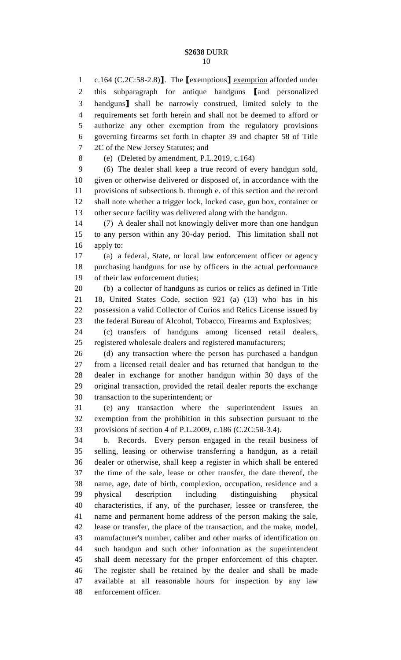c.164 (C.2C:58-2.8)**]**. The **[**exemptions**]** exemption afforded under this subparagraph for antique handguns **[**and personalized handguns**]** shall be narrowly construed, limited solely to the requirements set forth herein and shall not be deemed to afford or authorize any other exemption from the regulatory provisions governing firearms set forth in chapter 39 and chapter 58 of Title 2C of the New Jersey Statutes; and

(e) (Deleted by amendment, P.L.2019, c.164)

 (6) The dealer shall keep a true record of every handgun sold, given or otherwise delivered or disposed of, in accordance with the provisions of subsections b. through e. of this section and the record shall note whether a trigger lock, locked case, gun box, container or other secure facility was delivered along with the handgun.

 (7) A dealer shall not knowingly deliver more than one handgun to any person within any 30-day period. This limitation shall not apply to:

 (a) a federal, State, or local law enforcement officer or agency purchasing handguns for use by officers in the actual performance of their law enforcement duties;

 (b) a collector of handguns as curios or relics as defined in Title 18, United States Code, section 921 (a) (13) who has in his possession a valid Collector of Curios and Relics License issued by the federal Bureau of Alcohol, Tobacco, Firearms and Explosives;

 (c) transfers of handguns among licensed retail dealers, registered wholesale dealers and registered manufacturers;

 (d) any transaction where the person has purchased a handgun from a licensed retail dealer and has returned that handgun to the dealer in exchange for another handgun within 30 days of the original transaction, provided the retail dealer reports the exchange transaction to the superintendent; or

 (e) any transaction where the superintendent issues an exemption from the prohibition in this subsection pursuant to the provisions of section 4 of P.L.2009, c.186 (C.2C:58-3.4).

 b. Records. Every person engaged in the retail business of selling, leasing or otherwise transferring a handgun, as a retail dealer or otherwise, shall keep a register in which shall be entered the time of the sale, lease or other transfer, the date thereof, the name, age, date of birth, complexion, occupation, residence and a physical description including distinguishing physical characteristics, if any, of the purchaser, lessee or transferee, the name and permanent home address of the person making the sale, lease or transfer, the place of the transaction, and the make, model, manufacturer's number, caliber and other marks of identification on such handgun and such other information as the superintendent shall deem necessary for the proper enforcement of this chapter. The register shall be retained by the dealer and shall be made available at all reasonable hours for inspection by any law enforcement officer.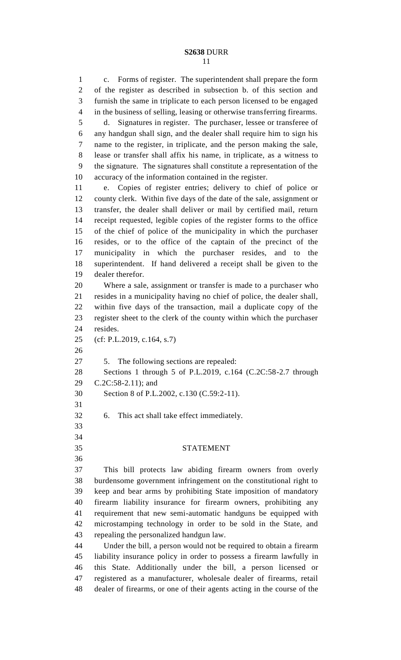#### **S2638** DURR

 c. Forms of register. The superintendent shall prepare the form of the register as described in subsection b. of this section and furnish the same in triplicate to each person licensed to be engaged in the business of selling, leasing or otherwise transferring firearms. d. Signatures in register. The purchaser, lessee or transferee of any handgun shall sign, and the dealer shall require him to sign his name to the register, in triplicate, and the person making the sale, lease or transfer shall affix his name, in triplicate, as a witness to the signature. The signatures shall constitute a representation of the accuracy of the information contained in the register. e. Copies of register entries; delivery to chief of police or county clerk. Within five days of the date of the sale, assignment or transfer, the dealer shall deliver or mail by certified mail, return receipt requested, legible copies of the register forms to the office of the chief of police of the municipality in which the purchaser resides, or to the office of the captain of the precinct of the municipality in which the purchaser resides, and to the superintendent. If hand delivered a receipt shall be given to the dealer therefor. Where a sale, assignment or transfer is made to a purchaser who resides in a municipality having no chief of police, the dealer shall, within five days of the transaction, mail a duplicate copy of the register sheet to the clerk of the county within which the purchaser resides. (cf: P.L.2019, c.164, s.7) 5. The following sections are repealed: Sections 1 through 5 of P.L.2019, c.164 (C.2C:58-2.7 through C.2C:58-2.11); and Section 8 of P.L.2002, c.130 (C.59:2-11). 6. This act shall take effect immediately. STATEMENT This bill protects law abiding firearm owners from overly burdensome government infringement on the constitutional right to keep and bear arms by prohibiting State imposition of mandatory firearm liability insurance for firearm owners, prohibiting any requirement that new semi-automatic handguns be equipped with microstamping technology in order to be sold in the State, and repealing the personalized handgun law. Under the bill, a person would not be required to obtain a firearm liability insurance policy in order to possess a firearm lawfully in this State. Additionally under the bill, a person licensed or registered as a manufacturer, wholesale dealer of firearms, retail dealer of firearms, or one of their agents acting in the course of the